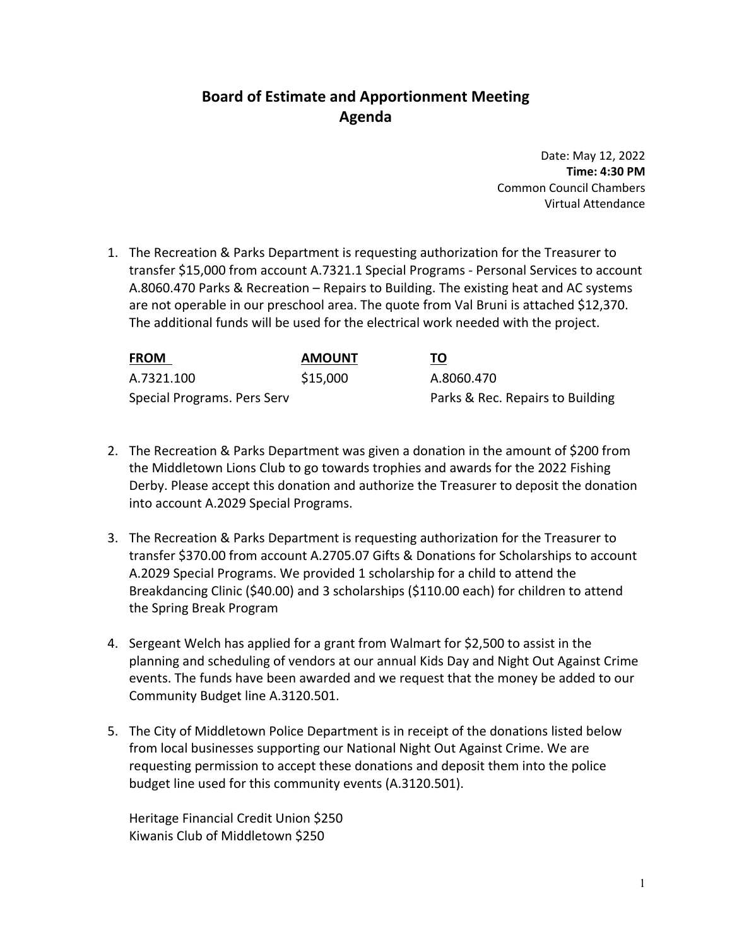# **Board of Estimate and Apportionment Meeting Agenda**

Date: May 12, 2022 **Time: 4:30 PM** Common Council Chambers Virtual Attendance

1. The Recreation & Parks Department is requesting authorization for the Treasurer to transfer \$15,000 from account A.7321.1 Special Programs ‐ Personal Services to account A.8060.470 Parks & Recreation – Repairs to Building. The existing heat and AC systems are not operable in our preschool area. The quote from Val Bruni is attached \$12,370. The additional funds will be used for the electrical work needed with the project.

| <b>FROM</b>                 | <b>AMOUNT</b> | TO                               |
|-----------------------------|---------------|----------------------------------|
| A.7321.100                  | \$15,000      | A.8060.470                       |
| Special Programs. Pers Serv |               | Parks & Rec. Repairs to Building |

- 2. The Recreation & Parks Department was given a donation in the amount of \$200 from the Middletown Lions Club to go towards trophies and awards for the 2022 Fishing Derby. Please accept this donation and authorize the Treasurer to deposit the donation into account A.2029 Special Programs.
- 3. The Recreation & Parks Department is requesting authorization for the Treasurer to transfer \$370.00 from account A.2705.07 Gifts & Donations for Scholarships to account A.2029 Special Programs. We provided 1 scholarship for a child to attend the Breakdancing Clinic (\$40.00) and 3 scholarships (\$110.00 each) for children to attend the Spring Break Program
- 4. Sergeant Welch has applied for a grant from Walmart for \$2,500 to assist in the planning and scheduling of vendors at our annual Kids Day and Night Out Against Crime events. The funds have been awarded and we request that the money be added to our Community Budget line A.3120.501.
- 5. The City of Middletown Police Department is in receipt of the donations listed below from local businesses supporting our National Night Out Against Crime. We are requesting permission to accept these donations and deposit them into the police budget line used for this community events (A.3120.501).

Heritage Financial Credit Union \$250 Kiwanis Club of Middletown \$250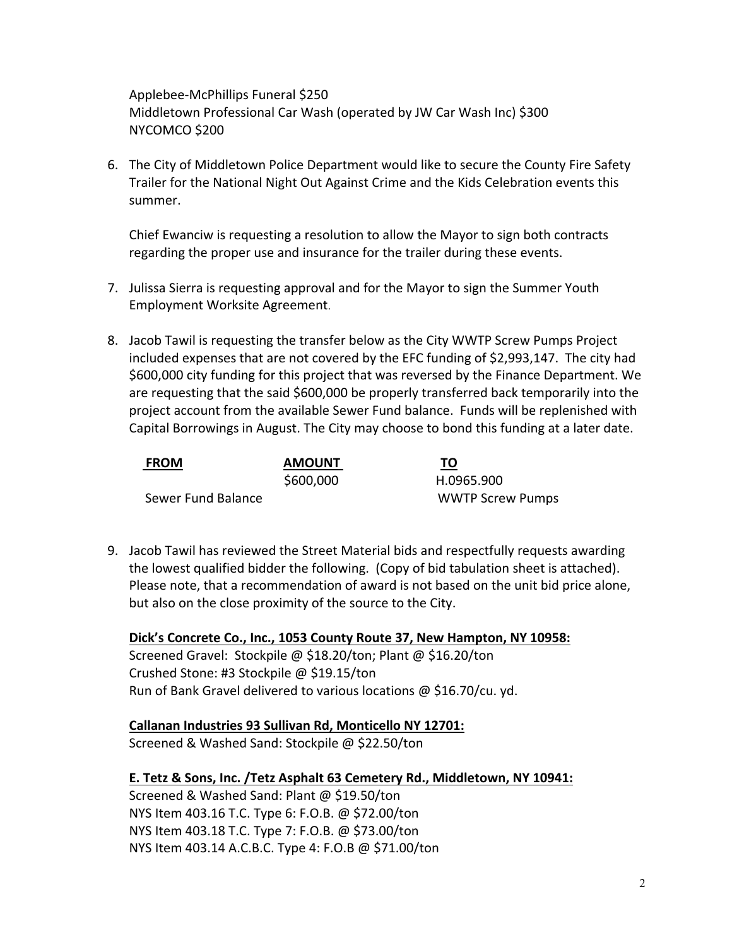Applebee‐McPhillips Funeral \$250 Middletown Professional Car Wash (operated by JW Car Wash Inc) \$300 NYCOMCO \$200

6. The City of Middletown Police Department would like to secure the County Fire Safety Trailer for the National Night Out Against Crime and the Kids Celebration events this summer.

Chief Ewanciw is requesting a resolution to allow the Mayor to sign both contracts regarding the proper use and insurance for the trailer during these events.

- 7. Julissa Sierra is requesting approval and for the Mayor to sign the Summer Youth Employment Worksite Agreement.
- 8. Jacob Tawil is requesting the transfer below as the City WWTP Screw Pumps Project included expenses that are not covered by the EFC funding of \$2,993,147. The city had \$600,000 city funding for this project that was reversed by the Finance Department. We are requesting that the said \$600,000 be properly transferred back temporarily into the project account from the available Sewer Fund balance. Funds will be replenished with Capital Borrowings in August. The City may choose to bond this funding at a later date.

| <b>FROM</b>        | <b>AMOUNT</b> | TO                      |
|--------------------|---------------|-------------------------|
|                    | \$600,000     | H.0965.900              |
| Sewer Fund Balance |               | <b>WWTP Screw Pumps</b> |

9. Jacob Tawil has reviewed the Street Material bids and respectfully requests awarding the lowest qualified bidder the following. (Copy of bid tabulation sheet is attached). Please note, that a recommendation of award is not based on the unit bid price alone, but also on the close proximity of the source to the City.

**Dick's Concrete Co., Inc., 1053 County Route 37, New Hampton, NY 10958:** Screened Gravel: Stockpile @ \$18.20/ton; Plant @ \$16.20/ton Crushed Stone: #3 Stockpile @ \$19.15/ton Run of Bank Gravel delivered to various locations @ \$16.70/cu. yd.

#### **Callanan Industries 93 Sullivan Rd, Monticello NY 12701:**

Screened & Washed Sand: Stockpile @ \$22.50/ton

#### **E. Tetz & Sons, Inc. /Tetz Asphalt 63 Cemetery Rd., Middletown, NY 10941:**

Screened & Washed Sand: Plant @ \$19.50/ton NYS Item 403.16 T.C. Type 6: F.O.B. @ \$72.00/ton NYS Item 403.18 T.C. Type 7: F.O.B. @ \$73.00/ton NYS Item 403.14 A.C.B.C. Type 4: F.O.B @ \$71.00/ton